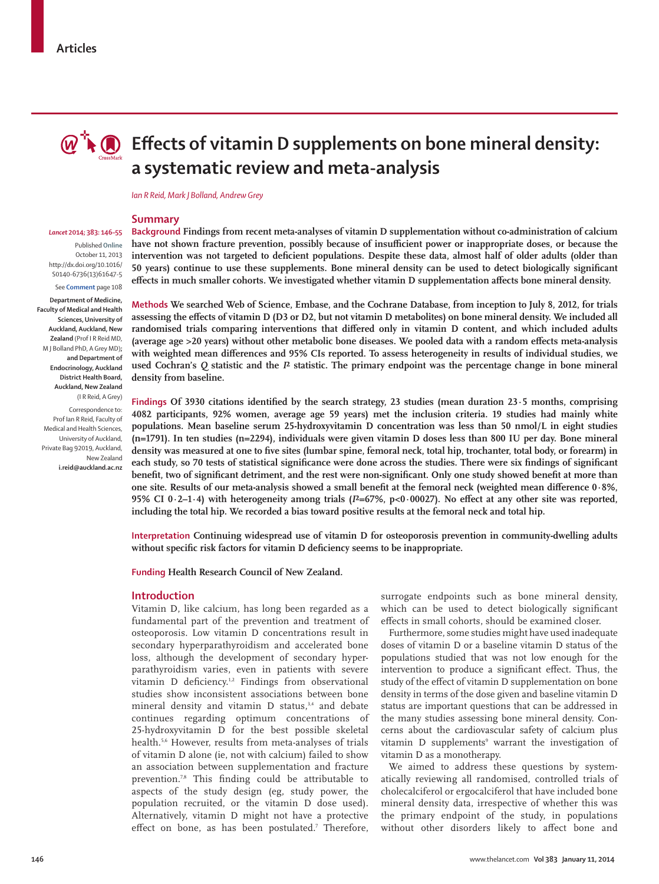

# **Effects of vitamin D supplements on bone mineral density: a systematic review and meta-analysis**

*Ian R Reid, Mark J Bolland, Andrew Grey*

#### **Summary**

#### *Lancet* **2014; 383: 146–55**

Published **Online** October 11, 2013 http://dx.doi.org/10.1016/ S0140-6736(13)61647-5 See **Comment** page 108

**Department of Medicine, Faculty of Medical and Health Sciences, University of Auckland, Auckland, New Zealand** (Prof I R Reid MD, M J Bolland PhD, A Grey MD)**; and Department of Endocrinology, Auckland District Health Board, Auckland, New Zealand**  (I R Reid, A Grey)

Correspondence to: Prof Ian R Reid, Faculty of Medical and Health Sciences, University of Auckland, Private Bag 92019, Auckland, New Zealand **i.reid@auckland.ac.nz** **Background Findings from recent meta-analyses of vitamin D supplementation without co-administration of calcium**  have not shown fracture prevention, possibly because of insufficient power or inappropriate doses, or because the intervention was not targeted to deficient populations. Despite these data, almost half of older adults (older than **50 years)** continue to use these supplements. Bone mineral density can be used to detect biologically significant effects in much smaller cohorts. We investigated whether vitamin D supplementation affects bone mineral density.

**Methods We searched Web of Science, Embase, and the Cochrane Database, from inception to July 8, 2012, for trials assessing the effects of vitamin D (D3 or D2, but not vitamin D metabolites) on bone mineral density. We included all**  randomised trials comparing interventions that differed only in vitamin D content, and which included adults (average age >20 years) without other metabolic bone diseases. We pooled data with a random effects meta-analysis with weighted mean differences and 95% CIs reported. To assess heterogeneity in results of individual studies, we **used Cochran's** *Q* **statistic and the** *I***² statistic. The primary endpoint was the percentage change in bone mineral density from baseline.**

Findings Of 3930 citations identified by the search strategy, 23 studies (mean duration 23.5 months, comprising **4082 participants, 92% women, average age 59 years) met the inclusion criteria. 19 studies had mainly white populations. Mean baseline serum 25-hydroxyvitamin D concentration was less than 50 nmol/L in eight studies (n=1791). In ten studies (n=2294), individuals were given vitamin D doses less than 800 IU per day. Bone mineral**  density was measured at one to five sites (lumbar spine, femoral neck, total hip, trochanter, total body, or forearm) in each study, so 70 tests of statistical significance were done across the studies. There were six findings of significant benefit, two of significant detriment, and the rest were non-significant. Only one study showed benefit at more than one site. Results of our meta-analysis showed a small benefit at the femoral neck (weighted mean difference 0.8%, **95% CI 0·2–1·4) with heterogeneity among trials (** $I^2=67\%$ **,**  $p<0.00027$ **). No effect at any other site was reported, including the total hip. We recorded a bias toward positive results at the femoral neck and total hip.**

**Interpretation Continuing widespread use of vitamin D for osteoporosis prevention in community-dwelling adults**  without specific risk factors for vitamin D deficiency seems to be inappropriate.

**Funding Health Research Council of New Zealand.**

## **Introduction**

Vitamin D, like calcium, has long been regarded as a fundamental part of the prevention and treatment of osteoporosis. Low vitamin D concentrations result in secondary hyperparathyroidism and accelerated bone loss, although the development of secondary hyperpara thyroidism varies, even in patients with severe vitamin D deficiency.<sup>1,2</sup> Findings from observational studies show inconsistent associations between bone mineral density and vitamin  $D$  status,<sup>3,4</sup> and debate continues regarding optimum concentrations of 25-hydroxyvitamin D for the best possible skeletal health.5,6 However, results from meta-analyses of trials of vitamin D alone (ie, not with calcium) failed to show an association between supplementation and fracture prevention.<sup>7,8</sup> This finding could be attributable to aspects of the study design (eg, study power, the population recruited, or the vitamin D dose used). Alternatively, vitamin D might not have a protective effect on bone, as has been postulated.<sup>7</sup> Therefore, surrogate endpoints such as bone mineral density, which can be used to detect biologically significant effects in small cohorts, should be examined closer.

Furthermore, some studies might have used inadequate doses of vitamin D or a baseline vitamin D status of the populations studied that was not low enough for the intervention to produce a significant effect. Thus, the study of the effect of vitamin D supplementation on bone density in terms of the dose given and baseline vitamin D status are important questions that can be addressed in the many studies assessing bone mineral density. Concerns about the cardiovascular safety of calcium plus vitamin D supplements<sup>9</sup> warrant the investigation of vitamin D as a monotherapy.

We aimed to address these questions by systematically reviewing all randomised, controlled trials of cholecalciferol or ergocalciferol that have included bone mineral density data, irrespective of whether this was the primary endpoint of the study, in populations without other disorders likely to affect bone and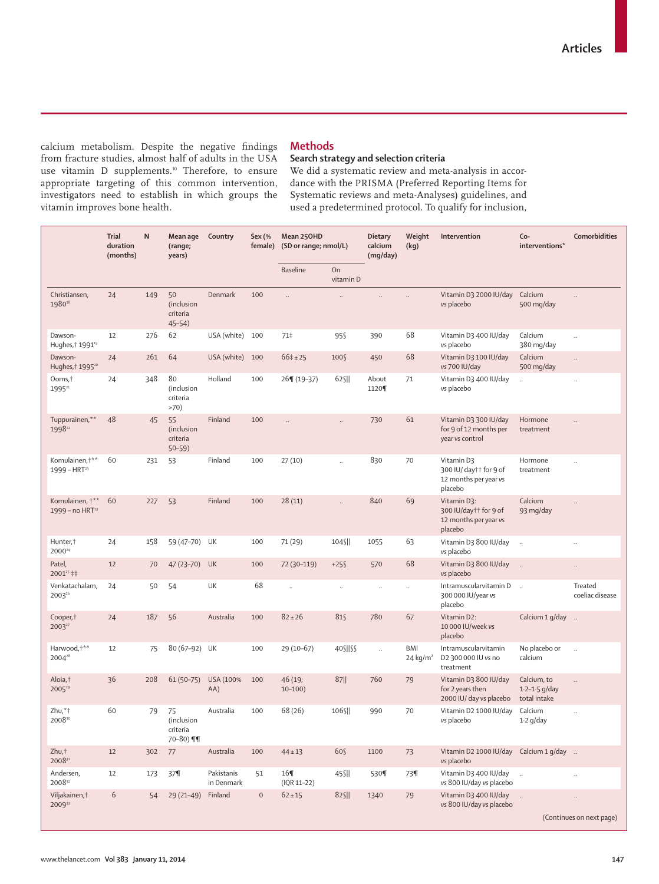calcium metabolism. Despite the negative findings from fracture studies, almost half of adults in the USA use vitamin D supplements.<sup>10</sup> Therefore, to ensure appropriate targeting of this common intervention, investigators need to establish in which groups the vitamin improves bone health.

# **Methods**

# **Search strategy and selection criteria**

We did a systematic review and meta-analysis in accordance with the PRISMA (Preferred Reporting Items for Systematic reviews and meta-Analyses) guidelines, and used a predetermined protocol. To qualify for inclusion,

|                                            | <b>Trial</b><br>duration<br>(months) | N   | Mean age<br>(range;<br>years)               | Country                  | Sex (%<br>female)   | Mean 250HD                  | <b>Dietary</b><br>calcium<br>(SD or range; nmol/L)<br>(mg/day) |                      | Weight<br>(kg)            | Intervention                                                             | Co-<br>interventions*                            | Comorbidities                         |
|--------------------------------------------|--------------------------------------|-----|---------------------------------------------|--------------------------|---------------------|-----------------------------|----------------------------------------------------------------|----------------------|---------------------------|--------------------------------------------------------------------------|--------------------------------------------------|---------------------------------------|
|                                            |                                      |     |                                             |                          |                     | Baseline                    | On<br>vitamin D                                                |                      |                           |                                                                          |                                                  |                                       |
| Christiansen,<br>198018                    | 24                                   | 149 | 50<br>(inclusion<br>criteria<br>$45 - 54$ ) | Denmark                  | 100                 | $\ddot{\phantom{a}}$        |                                                                |                      |                           | Vitamin D3 2000 IU/day<br>vs placebo                                     | Calcium<br>500 mg/day                            |                                       |
| Dawson-<br>Hughes, + 1991 <sup>19</sup>    | 12                                   | 276 | 62                                          | USA (white)              | 100                 | 71‡                         | 95\$                                                           | 390                  | 68                        | Vitamin D3 400 IU/day<br>vs placebo                                      | Calcium<br>380 mg/day                            |                                       |
| Dawson-<br>Hughes, † 1995 <sup>20</sup>    | 24                                   | 261 | 64                                          | USA (white)              | 100                 | $66\pm 25$                  | 100§                                                           | 450                  | 68                        | Vitamin D3 100 IU/day<br>vs 700 IU/day                                   | Calcium<br>500 mg/day                            | $\ddotsc$                             |
| Ooms, <sup>†</sup><br>1995 <sup>21</sup>   | 24                                   | 348 | 80<br>(inclusion<br>criteria<br>>70)        | Holland                  | 100                 | 26¶ (19-37)                 | $62$ S                                                         | About<br>1120¶       | 71                        | Vitamin D3 400 IU/day<br>vs placebo                                      | $\ddot{\phantom{a}}$                             | $\ldots$                              |
| Tuppurainen,**<br>199822                   | 48                                   | 45  | 55<br>(inclusion<br>criteria<br>$50 - 59$   | Finland                  | 100                 |                             | $\ldots$                                                       | 730                  | 61                        | Vitamin D3 300 IU/day<br>for 9 of 12 months per<br>year vs control       | Hormone<br>treatment                             |                                       |
| Komulainen, +**<br>$1999 - HRT23$          | 60                                   | 231 | 53                                          | Finland                  | 100                 | 27(10)                      | $\ddot{\phantom{a}}$                                           | 830                  | 70                        | Vitamin D3<br>300 IU/ day†† for 9 of<br>12 months per year vs<br>placebo | Hormone<br>treatment                             |                                       |
| Komulainen, †**<br>$1999 - no HRT23$       | 60                                   | 227 | 53                                          | Finland                  | 100                 | 28(11)                      | $\ddot{\phantom{a}}$                                           | 840                  | 69                        | Vitamin D3:<br>300 IU/day†† for 9 of<br>12 months per year vs<br>placebo | Calcium<br>93 mg/day                             | $\ddotsc$                             |
| Hunter. <sup>+</sup><br>2000 <sup>24</sup> | 24                                   | 158 | 59 (47-70) UK                               |                          | 100                 | 71 (29)                     | 104 <sub>S</sub>                                               | 1055                 | 63                        | Vitamin D3 800 IU/day<br>vs placebo                                      | $\ddot{\phantom{a}}$                             | $\ddotsc$                             |
| Patel,<br>2001 <sup>25</sup> ‡‡            | 12                                   | 70  | 47 (23-70) UK                               |                          | 100                 | 72 (30-119)                 | $+25$                                                          | 570                  | 68                        | Vitamin D3 800 IU/day<br>vs placebo                                      | $\overline{\phantom{a}}$                         | $\ldots$                              |
| Venkatachalam,<br>2003 <sup>26</sup>       | 24                                   | 50  | 54                                          | UK                       | 68                  | $\ddot{\phantom{a}}$        | $\ddot{\phantom{a}}$                                           | $\ddot{\phantom{0}}$ | $\ddotsc$                 | Intramuscularvitamin D<br>300 000 IU/year vs<br>placebo                  | $\ddotsc$                                        | Treated<br>coeliac disease            |
| Cooper, t<br>2003 <sup>27</sup>            | 24                                   | 187 | 56                                          | Australia                | 100                 | $82 \pm 26$                 | 81§                                                            | 780                  | 67                        | Vitamin D2:<br>10 000 IU/week vs<br>placebo                              | Calcium 1 g/day                                  |                                       |
| Harwood, +**<br>2004 <sup>28</sup>         | 12                                   | 75  | 80 (67-92) UK                               |                          | 100                 | $29(10-67)$                 | 405  55                                                        | $\ddotsc$            | <b>BMI</b><br>24 kg/ $m2$ | Intramuscularvitamin<br>D2 300 000 IU vs no<br>treatment                 | No placebo or<br>calcium                         | $\ldots$                              |
| Aloia,†<br>$2005^{29}$                     | 36                                   | 208 | $61(50-75)$                                 | USA (100%<br>AA)         | 100                 | 46 (19;<br>$10 - 100$       | $87$                                                           | 760                  | 79                        | Vitamin D3 800 IU/day<br>for 2 years then<br>2000 IU/ day vs placebo     | Calcium, to<br>$1.2 - 1.5$ g/day<br>total intake | $\ldots$                              |
| Zhu,*†<br>200830                           | 60                                   | 79  | 75<br>(inclusion<br>criteria<br>70-80) ¶¶   | Australia                | 100                 | 68 (26)                     | 106§                                                           | 990                  | 70                        | Vitamin D2 1000 IU/day<br>vs placebo                                     | Calcium<br>$1.2$ g/day                           | $\ddot{\phantom{a}}$                  |
| Zhu,t<br>200831                            | 12                                   | 302 | 77                                          | Australia                | 100                 | $44 \pm 13$                 | 60S                                                            | 1100                 | 73                        | Vitamin D2 1000 IU/day Calcium 1 g/day<br>vs placebo                     |                                                  |                                       |
| Andersen,<br>200832                        | 12                                   | 173 | 37                                          | Pakistanis<br>in Denmark | 51                  | $16\P$<br>$($ IQR 11-22 $)$ | 45\$                                                           | 530¶                 | 73¶                       | Vitamin D3 400 IU/day<br>vs 800 IU/day vs placebo                        | $\ddot{\phantom{a}}$                             | $\ddot{\phantom{a}}$                  |
| Viljakainen, †<br>200933                   | $6\,$                                | 54  | 29 (21-49) Finland                          |                          | $\mathsf{O}\xspace$ | $62 \pm 15$                 | 825                                                            | 1340                 | 79                        | Vitamin D3 400 IU/day<br>vs 800 IU/day vs placebo                        | $\ldots$                                         | $\ddotsc$<br>(Continues on next page) |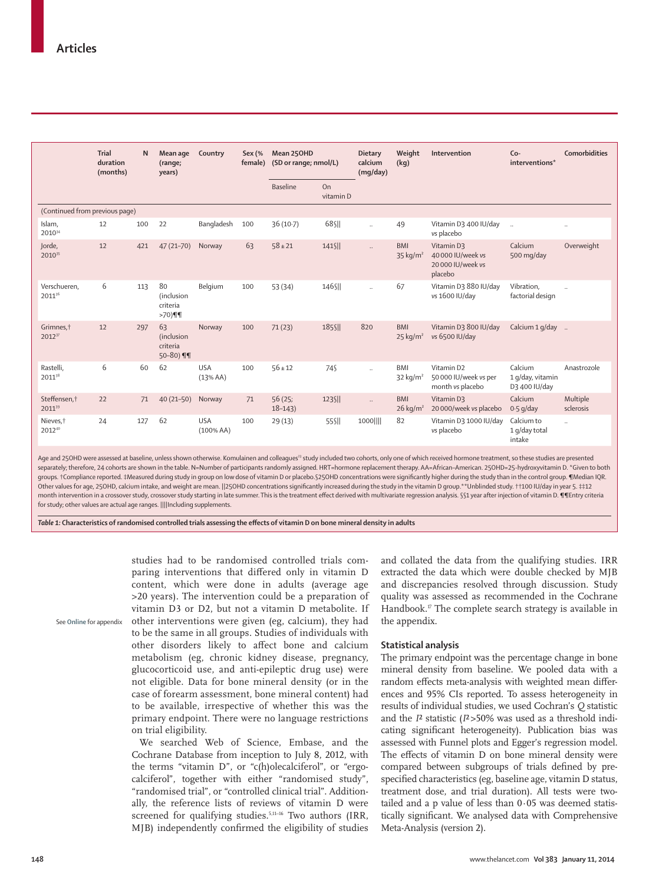|                                    | <b>Trial</b><br>duration<br>(months) | N   | Mean age<br>(range;<br>years)             | Country                | Sex (%<br>female) | Mean 250HD           | <b>Dietary</b><br>calcium<br>(SD or range; nmol/L)<br>(mq/day) |                             | Weight<br>(kq)                       | Intervention                                                        | $Co-$<br>interventions*                      | <b>Comorbidities</b>  |
|------------------------------------|--------------------------------------|-----|-------------------------------------------|------------------------|-------------------|----------------------|----------------------------------------------------------------|-----------------------------|--------------------------------------|---------------------------------------------------------------------|----------------------------------------------|-----------------------|
|                                    |                                      |     |                                           |                        |                   | <b>Baseline</b>      | On<br>vitamin D                                                |                             |                                      |                                                                     |                                              |                       |
| (Continued from previous page)     |                                      |     |                                           |                        |                   |                      |                                                                |                             |                                      |                                                                     |                                              |                       |
| Islam,<br>201034                   | 12                                   | 100 | 22                                        | Bangladesh             | 100               | $36(10-7)$           | 68 SII                                                         | $\ldots$                    | 49                                   | Vitamin D3 400 IU/day<br>vs placebo                                 | $\ddots$                                     | $\ldots$              |
| Jorde,<br>2010 <sup>35</sup>       | 12                                   | 421 | $47(21 - 70)$                             | Norway                 | 63                | $58 \pm 21$          | $141$ S                                                        | $\mathbb{R}^2$              | <b>BMI</b><br>$35$ kg/m <sup>2</sup> | Vitamin D3<br>40 000 IU/week vs<br>20 000 IU/week vs<br>placebo     | Calcium<br>500 mg/day                        | Overweight            |
| Verschueren.<br>201136             | 6                                    | 113 | 80<br>(inclusion<br>criteria<br>$>70)$ ¶¶ | Belgium                | 100               | 53 (34)              | 146 \[                                                         | $\mathcal{L}_{\mathcal{A}}$ | 67                                   | Vitamin D3 880 IU/day<br>vs 1600 IU/day                             | Vibration.<br>factorial design               | $\ldots$              |
| Grimnes, t<br>2012 <sup>37</sup>   | 12                                   | 297 | 63<br>(inclusion<br>criteria<br>50-80) ¶¶ | Norway                 | 100               | 71(23)               | 185 <sub>SII</sub>                                             | 820                         | <b>BMI</b><br>$25$ kg/m <sup>2</sup> | Vitamin D3 800 IU/day<br>vs 6500 IU/day                             | Calcium 1 g/day                              |                       |
| Rastelli,<br>201138                | 6                                    | 60  | 62                                        | <b>USA</b><br>(13%AA)  | 100               | $56 \pm 12$          | 74 <sub>S</sub>                                                | $\ddot{\phantom{a}}$        | <b>BMI</b><br>$32$ kg/m <sup>2</sup> | Vitamin D <sub>2</sub><br>50 000 IU/week vs per<br>month vs placebo | Calcium<br>1 g/day, vitamin<br>D3 400 IU/day | Anastrozole           |
| Steffensen, <sup>†</sup><br>201139 | 22                                   | 71  | $40(21 - 50)$                             | Norway                 | 71                | 56(25;<br>$18 - 143$ | 123 <sub>S</sub>                                               | $\ddot{\phantom{a}}$        | <b>BMI</b><br>$26$ kg/m <sup>2</sup> | Vitamin D3<br>20 000/week vs placebo                                | Calcium<br>$0.5$ g/day                       | Multiple<br>sclerosis |
| Nieves, <sup>†</sup><br>201240     | 24                                   | 127 | 62                                        | <b>USA</b><br>(100%AA) | 100               | 29(13)               | 55\$                                                           | 1000                        | 82                                   | Vitamin D3 1000 IU/day<br>vs placebo                                | Calcium to<br>1 g/day total<br>intake        | $\ldots$              |

Age and 25OHD were assessed at baseline, unless shown otherwise. Komulainen and colleagues<sup>23</sup> study included two cohorts, only one of which received hormone treatment, so these studies are presented separately; therefore, 24 cohorts are shown in the table. N=Number of participants randomly assigned. HRT=hormone replacement therapy. AA=African–American. 25OHD=25-hydroxyvitamin D. \*Given to both groups. †Compliance reported. ‡Measured during study in group on low dose of vitamin D or placebo.§25OHD concentrations were significantly higher during the study than in the control group. ¶Median IQR. Other values for age, 25OHD, calcium intake, and weight are mean. ||25OHD concentrations signifi cantly increased during the study in the vitamin D group.\*\*Unblinded study. ††100 IU/day in year 5. ‡‡12 month intervention in a crossover study, crossover study starting in late summer. This is the treatment effect derived with multivariate regression analysis. §§1 year after injection of vitamin D. ¶¶Entry criteria for study; other values are actual age ranges. ||||Including supplements.

Table 1: Characteristics of randomised controlled trials assessing the effects of vitamin D on bone mineral density in adults

studies had to be randomised controlled trials comparing interventions that differed only in vitamin D content, which were done in adults (average age >20 years). The intervention could be a preparation of vitamin D3 or D2, but not a vitamin D metabolite. If other interventions were given (eg, calcium), they had to be the same in all groups. Studies of individuals with other disorders likely to affect bone and calcium metabolism (eg, chronic kidney disease, pregnancy, glucocorticoid use, and anti-epileptic drug use) were not eligible. Data for bone mineral density (or in the case of forearm assessment, bone mineral content) had to be available, irrespective of whether this was the primary endpoint. There were no language restrictions on trial eligibility. See **Online** for appendix

> We searched Web of Science, Embase, and the Cochrane Database from inception to July 8, 2012, with the terms "vitamin D", or "c(h)olecalciferol", or "ergocalciferol", together with either "randomised study", "randomised trial", or "controlled clinical trial". Additionally, the reference lists of reviews of vitamin D were screened for qualifying studies.<sup>5,11-16</sup> Two authors (IRR, MJB) independently confirmed the eligibility of studies

and collated the data from the qualifying studies. IRR extracted the data which were double checked by MJB and discrepancies resolved through discussion. Study quality was assessed as recommended in the Cochrane Handbook. $\sqrt{r}$  The complete search strategy is available in the appendix.

### **Statistical analysis**

The primary endpoint was the percentage change in bone mineral density from baseline. We pooled data with a random effects meta-analysis with weighted mean differences and 95% CIs reported. To assess heterogeneity in results of individual studies, we used Cochran's *Q* statistic and the *I*² statistic (*I*² >50% was used as a threshold indicating significant heterogeneity). Publication bias was assessed with Funnel plots and Egger's regression model. The effects of vitamin D on bone mineral density were compared between subgroups of trials defined by prespecified characteristics (eg, baseline age, vitamin D status, treatment dose, and trial duration). All tests were twotailed and a p value of less than  $0.05$  was deemed statistically significant. We analysed data with Comprehensive Meta-Analysis (version 2).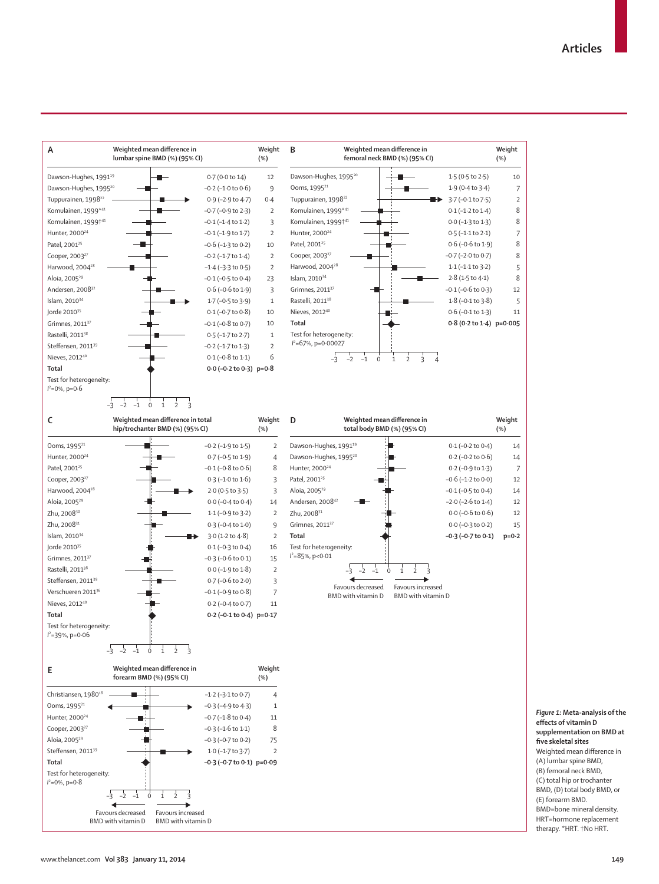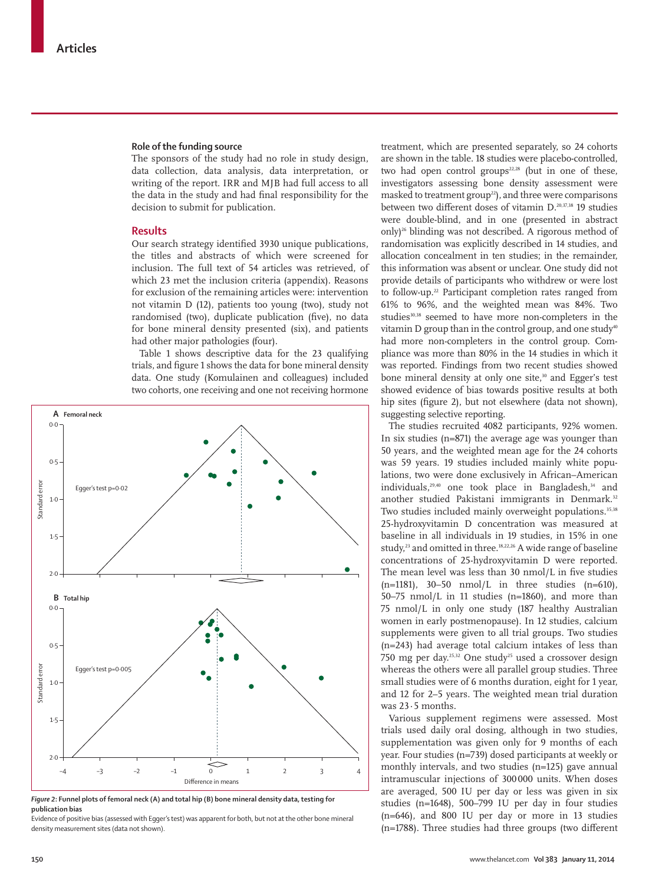#### **Role of the funding source**

The sponsors of the study had no role in study design, data collection, data analysis, data interpretation, or writing of the report. IRR and MJB had full access to all the data in the study and had final responsibility for the decision to submit for publication.

## **Results**

Our search strategy identified 3930 unique publications, the titles and abstracts of which were screened for inclusion. The full text of 54 articles was retrieved, of which 23 met the inclusion criteria (appendix). Reasons for exclusion of the remaining articles were: intervention not vitamin D (12), patients too young (two), study not randomised (two), duplicate publication (five), no data for bone mineral density presented (six), and patients had other major pathologies (four).

Table 1 shows descriptive data for the 23 qualifying trials, and figure 1 shows the data for bone mineral density data. One study (Komulainen and colleagues) included two cohorts, one receiving and one not receiving hormone



*Figure 2***: Funnel plots of femoral neck (A) and total hip (B) bone mineral density data, testing for publication bias**

Evidence of positive bias (assessed with Egger's test) was apparent for both, but not at the other bone mineral density measurement sites (data not shown).

treatment, which are presented separately, so 24 cohorts are shown in the table. 18 studies were placebo-controlled, two had open control groups $22,28$  (but in one of these, investigators assessing bone density assessment were masked to treatment group<sup>22</sup>), and three were comparisons between two different doses of vitamin D.<sup>20,37,38</sup> 19 studies were double-blind, and in one (presented in abstract only)<sup>26</sup> blinding was not described. A rigorous method of randomisation was explicitly described in 14 studies, and allocation concealment in ten studies; in the remainder, this information was absent or unclear. One study did not provide details of participants who withdrew or were lost to follow-up.<sup>22</sup> Participant completion rates ranged from 61% to 96%, and the weighted mean was 84%. Two studies<sup>30,38</sup> seemed to have more non-completers in the vitamin D group than in the control group, and one study<sup>40</sup> had more non-completers in the control group. Compliance was more than 80% in the 14 studies in which it was reported. Findings from two recent studies showed bone mineral density at only one site,<sup>30</sup> and Egger's test showed evidence of bias towards positive results at both hip sites (figure 2), but not elsewhere (data not shown), suggesting selective reporting.

The studies recruited 4082 participants, 92% women. In six studies (n=871) the average age was younger than 50 years, and the weighted mean age for the 24 cohorts was 59 years. 19 studies included mainly white populations, two were done exclusively in African–American individuals,<sup>29,40</sup> one took place in Bangladesh,<sup>34</sup> and another studied Pakistani immigrants in Denmark.<sup>32</sup> Two studies included mainly overweight populations.<sup>35,38</sup> 25-hydroxyvitamin D concentration was measured at baseline in all individuals in 19 studies, in 15% in one study,<sup>23</sup> and omitted in three.<sup>18,22,26</sup> A wide range of baseline concentrations of 25-hydroxyvitamin D were reported. The mean level was less than 30 nmol/L in five studies (n=1181), 30–50 nmol/L in three studies (n=610), 50–75 nmol/L in 11 studies (n=1860), and more than 75 nmol/L in only one study (187 healthy Australian women in early postmenopause). In 12 studies, calcium supplements were given to all trial groups. Two studies (n=243) had average total calcium intakes of less than 750 mg per day.25,32 One study25 used a crossover design whereas the others were all parallel group studies. Three small studies were of 6 months duration, eight for 1 year, and 12 for 2–5 years. The weighted mean trial duration was 23·5 months.

Various supplement regimens were assessed. Most trials used daily oral dosing, although in two studies, supplementation was given only for 9 months of each year. Four studies (n=739) dosed participants at weekly or monthly intervals, and two studies (n=125) gave annual intramuscular injections of 300 000 units. When doses are averaged, 500 IU per day or less was given in six studies (n=1648), 500–799 IU per day in four studies (n=646), and 800 IU per day or more in 13 studies  $(n=1788)$ . Three studies had three groups (two different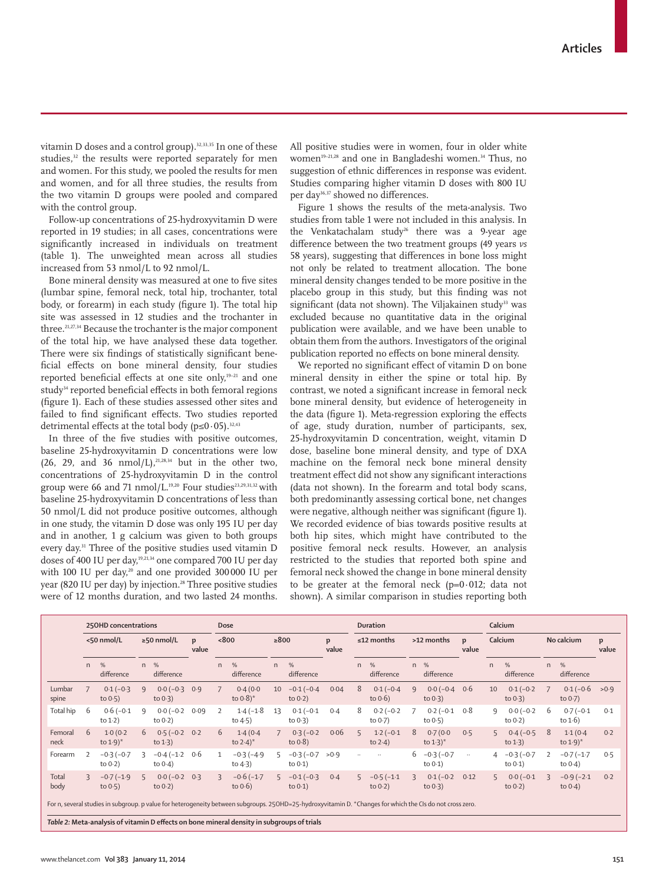vitamin D doses and a control group). $32,33,35$  In one of these studies,<sup>32</sup> the results were reported separately for men and women. For this study, we pooled the results for men and women, and for all three studies, the results from the two vitamin D groups were pooled and compared with the control group.

Follow-up concentrations of 25-hydroxyvitamin D were reported in 19 studies; in all cases, concentrations were significantly increased in individuals on treatment (table 1). The unweighted mean across all studies increased from 53 nmol/L to 92 nmol/L.

Bone mineral density was measured at one to five sites (lumbar spine, femoral neck, total hip, trochanter, total body, or forearm) in each study (figure 1). The total hip site was assessed in 12 studies and the trochanter in three.<sup>21,27,34</sup> Because the trochanter is the major component of the total hip, we have analysed these data together. There were six findings of statistically significant beneficial effects on bone mineral density, four studies reported beneficial effects at one site only, $19-21$  and one study<sup>34</sup> reported beneficial effects in both femoral regions (figure 1). Each of these studies assessed other sites and failed to find significant effects. Two studies reported detrimental effects at the total body ( $p \le 0.05$ ).<sup>32,43</sup>

In three of the five studies with positive outcomes, baseline 25-hydroxyvitamin D concentrations were low (26, 29, and 36 nmol/L), $21,28,34$  but in the other two, concentrations of 25-hydroxyvitamin D in the control group were 66 and 71 nmol/L.<sup>19,20</sup> Four studies<sup>23,29,31,32</sup> with baseline 25-hydroxyvitamin D concentrations of less than 50 nmol/L did not produce positive outcomes, although in one study, the vitamin D dose was only 195 IU per day and in another, 1 g calcium was given to both groups every day.31 Three of the positive studies used vitamin D doses of 400 IU per day,<sup>19,21,34</sup> one compared 700 IU per day with 100 IU per day,<sup>20</sup> and one provided 300000 IU per year (820 IU per day) by injection.<sup>28</sup> Three positive studies were of 12 months duration, and two lasted 24 months.

All positive studies were in women, four in older white women<sup>19-21,28</sup> and one in Bangladeshi women.<sup>34</sup> Thus, no suggestion of ethnic differences in response was evident. Studies comparing higher vitamin D doses with 800 IU per day<sup>36,37</sup> showed no differences.

Figure 1 shows the results of the meta-analysis. Two studies from table 1 were not included in this analysis. In the Venkatachalam study<sup>26</sup> there was a 9-year age difference between the two treatment groups (49 years *vs* 58 years), suggesting that differences in bone loss might not only be related to treatment allocation. The bone mineral density changes tended to be more positive in the placebo group in this study, but this finding was not significant (data not shown). The Viljakainen study<sup>33</sup> was excluded because no quantitative data in the original publication were available, and we have been unable to obtain them from the authors. Investigators of the original publication reported no effects on bone mineral density.

We reported no significant effect of vitamin D on bone mineral density in either the spine or total hip. By contrast, we noted a significant increase in femoral neck bone mineral density, but evidence of heterogeneity in the data (figure 1). Meta-regression exploring the effects of age, study duration, number of participants, sex, 25-hydroxyvitamin D concentration, weight, vitamin D dose, baseline bone mineral density, and type of DXA machine on the femoral neck bone mineral density treatment effect did not show any significant interactions (data not shown). In the forearm and total body scans, both predominantly assessing cortical bone, net changes were negative, although neither was significant (figure 1). We recorded evidence of bias towards positive results at both hip sites, which might have contributed to the positive femoral neck results. However, an analysis restricted to the studies that reported both spine and femoral neck showed the change in bone mineral density to be greater at the femoral neck  $(p=0.012;$  data not shown). A similar comparison in studies reporting both

|                 | 250HD concentrations |                                   |                  |                            |            |                | Dose                                                                                                                                                      |                 |                              |            |                  | <b>Duration</b>            |            |                                   |                       |                | Calcium                    |                |                                   |            |  |
|-----------------|----------------------|-----------------------------------|------------------|----------------------------|------------|----------------|-----------------------------------------------------------------------------------------------------------------------------------------------------------|-----------------|------------------------------|------------|------------------|----------------------------|------------|-----------------------------------|-----------------------|----------------|----------------------------|----------------|-----------------------------------|------------|--|
|                 | <50 nmol/L           |                                   | $\geq$ 50 nmol/L |                            | p<br>value |                | <800                                                                                                                                                      |                 | $\geq 800$                   | p<br>value | $\leq$ 12 months |                            | >12 months |                                   | $\mathbf{D}$<br>value | Calcium        |                            | No calcium     |                                   | p<br>value |  |
|                 | $\mathsf{n}$         | %<br>difference                   | n                | %<br>difference            |            | n              | %<br>difference                                                                                                                                           | n               | %<br>difference              |            | n                | %<br>difference            | n.         | %<br>difference                   |                       | n              | %<br>difference            | $\mathsf{n}$   | $\frac{0}{6}$<br>difference       |            |  |
| Lumbar<br>spine |                      | $0.1(-0.3)$<br>to $0.5$ )         | 9                | $0.0(-0.3)$<br>to $0.3$ )  | 0.9        | $\overline{7}$ | 0.4(0.0)<br>to $0.8$ <sup>*</sup>                                                                                                                         | 10 <sup>°</sup> | $-0.1(-0.4)$<br>to $0.2$ )   | 0.04       | 8                | $0.1(-0.4)$<br>to $0.6$ )  | 9          | $0.0 (-0.4 \ 0.6$<br>to $0.3$ )   |                       | 10             | $0.1(-0.2)$<br>to $0.3$ )  | $\overline{7}$ | $0.1(-0.6)$<br>to $0.7$ )         | >0.9       |  |
| Total hip       | 6                    | $0.6(-0.1)$<br>to $1-2$ )         | 9                | $0.0 (-0.2$<br>to $0.2$ )  | 0.09       | 2              | $1.4(-1.8)$<br>to $4.5$ )                                                                                                                                 | 13              | $0.1(-0.1)$<br>to $0.3$ )    | 0.4        | 8                | $0.2(-0.2)$<br>to $0.7$ )  |            | $0.2(-0.1)$<br>to $0.5$ )         | 0.8                   | 9              | $0.0 (-0.2$<br>to $0.2$ )  | 6              | $0.7(-0.1)$<br>to $1.6$ )         | 0.1        |  |
| Femoral<br>neck | 6                    | 1.0(0.2)<br>to $1.9$ <sup>*</sup> | 6                | $0.5(-0.2)$<br>to $1-3$ )  | 0.2        | 6              | 1.4(0.4)<br>to $2.4$ <sup>*</sup>                                                                                                                         | $7^{\circ}$     | $0.3(-0.2)$<br>to $0.8$ )    | 0.06       | $5\overline{2}$  | $1.2(-0.1)$<br>to $2-4$ )  | 8          | 0.7(0.0)<br>to $1.3$ <sup>*</sup> | 0.5                   | $5^{\circ}$    | $0.4(-0.5)$<br>to $1-3$ )  | 8              | 1.1(0.4)<br>to $1.9$ <sup>*</sup> | 0.2        |  |
| Forearm         | $\overline{z}$       | $-0.3(-0.7)$<br>to $0.2$ )        | 3                | $-0.4(-1.2)$<br>to $0.4$ ) | 0.6        | -1             | $-0.3(-4.9)$<br>to $4-3$ )                                                                                                                                |                 | $5 -0.3(-0.7)$<br>to $0.1$ ) | >0.9       | $\ddots$         | $\ldots$                   |            | $6 -0.3(-0.7)$<br>to $0.1$ )      | $\cdots$              | $\overline{4}$ | $-0.3(-0.7)$<br>to $0.1$ ) | $\mathcal{L}$  | $-0.7(-1.7)$<br>to $0.4$ )        | 0.5        |  |
| Total<br>body   |                      | $-0.7(-1.9)$<br>to $0.5$ )        | 5.               | $0.0 (-0.2$<br>to $0.2$ )  | 0.3        | 3              | $-0.6(-1.7)$<br>to $0.6$ )                                                                                                                                | $5 -$           | $-0.1(-0.3)$<br>to $0.1$ )   | 0.4        | 5                | $-0.5(-1.1)$<br>to $0.2$ ) | 3          | $0.1(-0.2)$<br>to $0.3$ )         | 0.12                  | 5              | $0.0 (-0.1$<br>to $0.2$ )  | 3              | $-0.9(-2.1)$<br>to $0.4$ )        | 0.2        |  |
|                 |                      |                                   |                  |                            |            |                | For n, several studies in subgroup. p value for heterogeneity between subgroups. 25OHD=25-hydroxyvitamin D. *Changes for which the CIs do not cross zero. |                 |                              |            |                  |                            |            |                                   |                       |                |                            |                |                                   |            |  |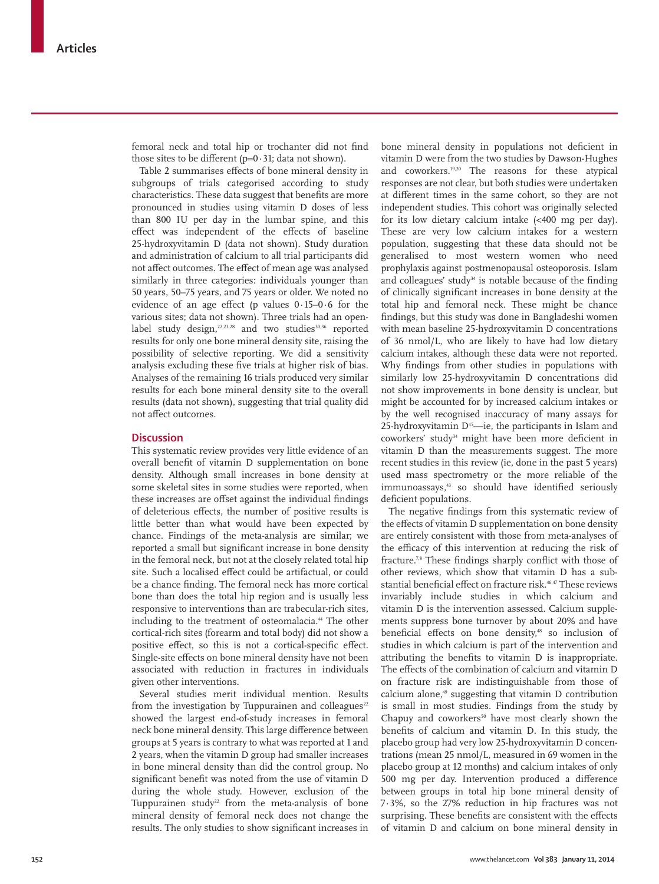femoral neck and total hip or trochanter did not find those sites to be different  $(p=0.31; \text{data not shown}).$ 

Table 2 summarises effects of bone mineral density in subgroups of trials categorised according to study characteristics. These data suggest that benefits are more pronounced in studies using vitamin D doses of less than 800 IU per day in the lumbar spine, and this effect was independent of the effects of baseline 25-hydroxyvitamin D (data not shown). Study duration and administration of calcium to all trial participants did not affect outcomes. The effect of mean age was analysed similarly in three categories: individuals younger than 50 years, 50–75 years, and 75 years or older. We noted no evidence of an age effect (p values  $0.15-0.6$  for the various sites; data not shown). Three trials had an openlabel study design, $22,23,28$  and two studies<sup>30,36</sup> reported results for only one bone mineral density site, raising the possibility of selective reporting. We did a sensitivity analysis excluding these five trials at higher risk of bias. Analyses of the remaining 16 trials produced very similar results for each bone mineral density site to the overall results (data not shown), suggesting that trial quality did not affect outcomes

# **Discussion**

This systematic review provides very little evidence of an overall benefit of vitamin D supplementation on bone density. Although small increases in bone density at some skeletal sites in some studies were reported, when these increases are offset against the individual findings of deleterious effects, the number of positive results is little better than what would have been expected by chance. Findings of the meta-analysis are similar; we reported a small but significant increase in bone density in the femoral neck, but not at the closely related total hip site. Such a localised effect could be artifactual, or could be a chance finding. The femoral neck has more cortical bone than does the total hip region and is usually less responsive to interventions than are trabecular-rich sites, including to the treatment of osteomalacia.<sup>44</sup> The other cortical-rich sites (forearm and total body) did not show a positive effect, so this is not a cortical-specific effect. Single-site effects on bone mineral density have not been associated with reduction in fractures in individuals given other interventions.

Several studies merit individual mention. Results from the investigation by Tuppurainen and colleagues<sup>22</sup> showed the largest end-of-study increases in femoral neck bone mineral density. This large difference between groups at 5 years is contrary to what was reported at 1 and 2 years, when the vitamin D group had smaller increases in bone mineral density than did the control group. No significant benefit was noted from the use of vitamin D during the whole study. However, exclusion of the Tuppurainen study<sup>22</sup> from the meta-analysis of bone mineral density of femoral neck does not change the results. The only studies to show significant increases in bone mineral density in populations not deficient in vitamin D were from the two studies by Dawson-Hughes and coworkers.19,20 The reasons for these atypical responses are not clear, but both studies were undertaken at different times in the same cohort, so they are not independent studies. This cohort was originally selected for its low dietary calcium intake (<400 mg per day). These are very low calcium intakes for a western population, suggesting that these data should not be generalised to most western women who need prophylaxis against postmenopausal osteoporosis. Islam and colleagues' study $34$  is notable because of the finding of clinically significant increases in bone density at the total hip and femoral neck. These might be chance findings, but this study was done in Bangladeshi women with mean baseline 25-hydroxyvitamin D concentrations of 36 nmol/L, who are likely to have had low dietary calcium intakes, although these data were not reported. Why findings from other studies in populations with similarly low 25-hydroxyvitamin D concentrations did not show improvements in bone density is unclear, but might be accounted for by increased calcium intakes or by the well recognised inaccuracy of many assays for 25-hydroxyvitamin  $D^{45}$ —ie, the participants in Islam and coworkers' study<sup>34</sup> might have been more deficient in vitamin D than the measurements suggest. The more recent studies in this review (ie, done in the past 5 years) used mass spectrometry or the more reliable of the immunoassays,<sup>43</sup> so should have identified seriously deficient populations.

The negative findings from this systematic review of the effects of vitamin D supplementation on bone density are entirely consistent with those from meta-analyses of the efficacy of this intervention at reducing the risk of fracture.<sup>7,8</sup> These findings sharply conflict with those of other reviews, which show that vitamin D has a substantial beneficial effect on fracture risk.<sup>46,47</sup> These reviews invariably include studies in which calcium and vitamin D is the intervention assessed. Calcium supplements suppress bone turnover by about 20% and have beneficial effects on bone density,<sup>48</sup> so inclusion of studies in which calcium is part of the intervention and attributing the benefits to vitamin D is inappropriate. The effects of the combination of calcium and vitamin D on fracture risk are indistinguishable from those of calcium alone,<sup>49</sup> suggesting that vitamin D contribution is small in most studies. Findings from the study by Chapuy and coworkers<sup>50</sup> have most clearly shown the benefits of calcium and vitamin D. In this study, the placebo group had very low 25-hydroxyvitamin D concentrations (mean 25 nmol/L, measured in 69 women in the placebo group at 12 months) and calcium intakes of only 500 mg per day. Intervention produced a difference between groups in total hip bone mineral density of 7·3%, so the 27% reduction in hip fractures was not surprising. These benefits are consistent with the effects of vitamin D and calcium on bone mineral density in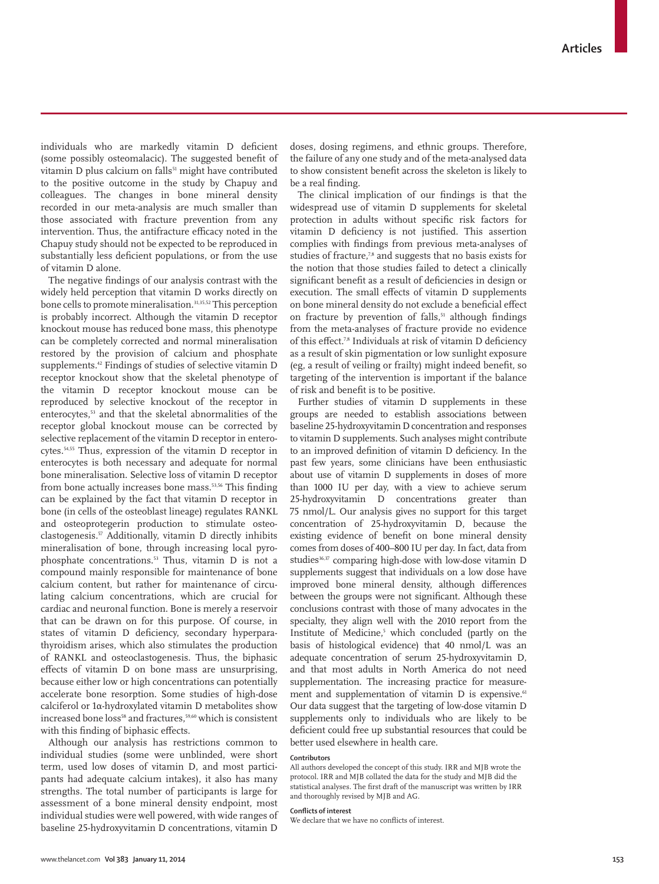individuals who are markedly vitamin D deficient (some possibly osteomalacic). The suggested benefit of vitamin D plus calcium on falls<sup>51</sup> might have contributed to the positive outcome in the study by Chapuy and colleagues. The changes in bone mineral density recorded in our meta-analysis are much smaller than those associated with fracture prevention from any intervention. Thus, the antifracture efficacy noted in the Chapuy study should not be expected to be reproduced in substantially less deficient populations, or from the use of vitamin D alone.

The negative findings of our analysis contrast with the widely held perception that vitamin D works directly on bone cells to promote mineralisation.<sup>31,35,52</sup> This perception is probably incorrect. Although the vitamin D receptor knockout mouse has reduced bone mass, this phenotype can be completely corrected and normal mineralisation restored by the provision of calcium and phosphate supplements.42 Findings of studies of selective vitamin D receptor knockout show that the skeletal phenotype of the vitamin D receptor knockout mouse can be reproduced by selective knockout of the receptor in enterocytes,<sup>53</sup> and that the skeletal abnormalities of the receptor global knockout mouse can be corrected by selective replacement of the vitamin D receptor in enterocytes.54,55 Thus, expression of the vitamin D receptor in enterocytes is both necessary and adequate for normal bone mineralisation. Selective loss of vitamin D receptor from bone actually increases bone mass.<sup>53,56</sup> This finding can be explained by the fact that vitamin D receptor in bone (in cells of the osteoblast lineage) regulates RANKL and osteoprotegerin production to stimulate osteoclastogenesis.57 Additionally, vitamin D directly inhibits mineralisation of bone, through increasing local pyrophosphate concentrations.53 Thus, vitamin D is not a compound mainly responsible for maintenance of bone calcium content, but rather for maintenance of circulating calcium concentrations, which are crucial for cardiac and neuronal function. Bone is merely a reservoir that can be drawn on for this purpose. Of course, in states of vitamin D deficiency, secondary hyperparathyroidism arises, which also stimulates the production of RANKL and osteoclastogenesis. Thus, the biphasic effects of vitamin D on bone mass are unsurprising, because either low or high concentrations can potentially accelerate bone resorption. Some studies of high-dose calciferol or 1α-hydroxylated vitamin D metabolites show increased bone loss<sup>58</sup> and fractures,<sup>59,60</sup> which is consistent with this finding of biphasic effects.

Although our analysis has restrictions common to individual studies (some were unblinded, were short term, used low doses of vitamin D, and most participants had adequate calcium intakes), it also has many strengths. The total number of participants is large for assessment of a bone mineral density endpoint, most individual studies were well powered, with wide ranges of baseline 25-hydroxyvitamin D concentrations, vitamin D doses, dosing regimens, and ethnic groups. Therefore, the failure of any one study and of the meta-analysed data to show consistent benefit across the skeleton is likely to be a real finding.

The clinical implication of our findings is that the widespread use of vitamin D supplements for skeletal protection in adults without specific risk factors for vitamin D deficiency is not justified. This assertion complies with findings from previous meta-analyses of studies of fracture,<sup>7,8</sup> and suggests that no basis exists for the notion that those studies failed to detect a clinically significant benefit as a result of deficiencies in design or execution. The small effects of vitamin D supplements on bone mineral density do not exclude a beneficial effect on fracture by prevention of falls,<sup>51</sup> although findings from the meta-analyses of fracture provide no evidence of this effect.<sup>7,8</sup> Individuals at risk of vitamin D deficiency as a result of skin pigmentation or low sunlight exposure (eg, a result of veiling or frailty) might indeed benefit, so targeting of the intervention is important if the balance of risk and benefit is to be positive.

Further studies of vitamin D supplements in these groups are needed to establish associations between baseline 25-hydroxyvitamin D concentration and responses to vitamin D supplements. Such analyses might contribute to an improved definition of vitamin D deficiency. In the past few years, some clinicians have been enthusiastic about use of vitamin D supplements in doses of more than 1000 IU per day, with a view to achieve serum 25-hydroxyvitamin D concentrations greater than 75 nmol/L. Our analysis gives no support for this target concentration of 25-hydroxyvitamin D, because the existing evidence of benefit on bone mineral density comes from doses of 400–800 IU per day. In fact, data from studies<sup>36,37</sup> comparing high-dose with low-dose vitamin D supplements suggest that individuals on a low dose have improved bone mineral density, although differences between the groups were not significant. Although these conclusions contrast with those of many advocates in the specialty, they align well with the 2010 report from the Institute of Medicine,<sup>5</sup> which concluded (partly on the basis of histological evidence) that 40 nmol/L was an adequate concentration of serum 25-hydroxyvitamin D, and that most adults in North America do not need supplementation. The increasing practice for measurement and supplementation of vitamin D is expensive.<sup>61</sup> Our data suggest that the targeting of low-dose vitamin D supplements only to individuals who are likely to be deficient could free up substantial resources that could be better used elsewhere in health care.

#### **Contributors**

All authors developed the concept of this study. IRR and MJB wrote the protocol. IRR and MJB collated the data for the study and MJB did the statistical analyses. The first draft of the manuscript was written by IRR and thoroughly revised by MJB and AG.

#### **Conflicts of interest**

We declare that we have no conflicts of interest.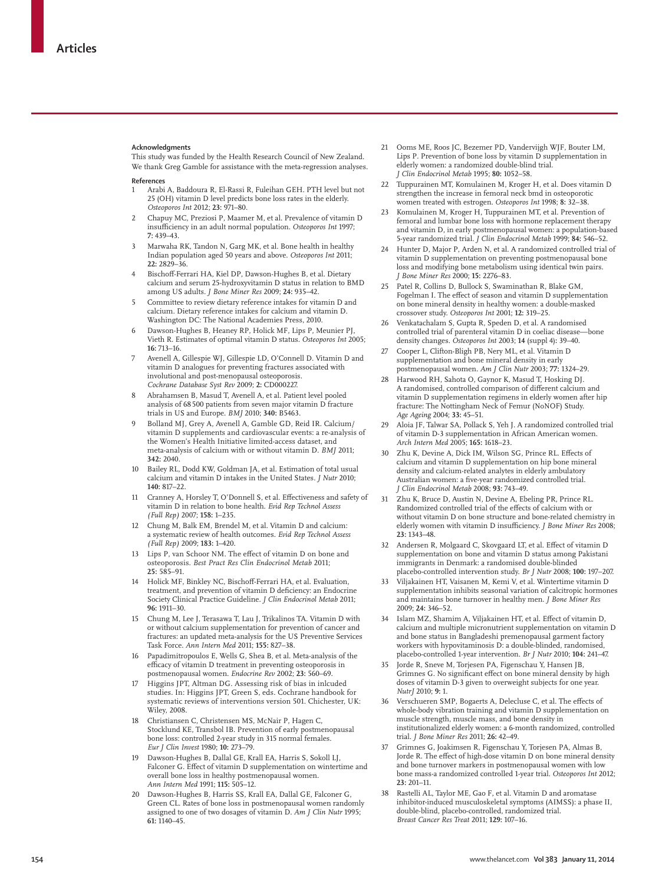#### **Acknowledgments**

This study was funded by the Health Research Council of New Zealand. We thank Greg Gamble for assistance with the meta-regression analyses.

**References**

- 1 Arabi A, Baddoura R, El-Rassi R, Fuleihan GEH. PTH level but not 25 (OH) vitamin D level predicts bone loss rates in the elderly. *Osteoporos Int* 2012; **23:** 971–80.
- 2 Chapuy MC, Preziosi P, Maamer M, et al. Prevalence of vitamin D insufficiency in an adult normal population. Osteoporos Int 1997; **7:** 439–43.
- Marwaha RK, Tandon N, Garg MK, et al. Bone health in healthy Indian population aged 50 years and above. *Osteoporos Int* 2011; **22:** 2829–36.
- Bischoff-Ferrari HA, Kiel DP, Dawson-Hughes B, et al. Dietary calcium and serum 25-hydroxyvitamin D status in relation to BMD among US adults. *J Bone Miner Res* 2009; **24:** 935–42.
- 5 Committee to review dietary reference intakes for vitamin D and calcium. Dietary reference intakes for calcium and vitamin D. Washington DC: The National Academies Press, 2010.
- 6 Dawson-Hughes B, Heaney RP, Holick MF, Lips P, Meunier PJ, Vieth R. Estimates of optimal vitamin D status. *Osteoporos Int* 2005; **16:** 713–16.
- 7 Avenell A, Gillespie WJ, Gillespie LD, O'Connell D. Vitamin D and vitamin D analogues for preventing fractures associated with involutional and post-menopausal osteoporosis. *Cochrane Database Syst Rev* 2009; **2:** CD000227.
- 8 Abrahamsen B, Masud T, Avenell A, et al. Patient level pooled analysis of 68 500 patients from seven major vitamin D fracture trials in US and Europe. *BMJ* 2010; **340:** B5463.
- 9 Bolland MJ, Grey A, Avenell A, Gamble GD, Reid IR. Calcium/ vitamin D supplements and cardiovascular events: a re-analysis of the Women's Health Initiative limited-access dataset, and meta-analysis of calcium with or without vitamin D. *BMJ* 2011; **342:** 2040.
- 10 Bailey RL, Dodd KW, Goldman JA, et al. Estimation of total usual calcium and vitamin D intakes in the United States. *J Nutr* 2010; **140:** 817–22.
- 11 Cranney A, Horsley T, O'Donnell S, et al. Effectiveness and safety of vitamin D in relation to bone health. *Evid Rep Technol Assess (Full Rep)* 2007; **158:** 1–235.
- 12 Chung M, Balk EM, Brendel M, et al. Vitamin D and calcium: a systematic review of health outcomes. *Evid Rep Technol Assess (Full Rep)* 2009; **183:** 1–420.
- 13 Lips P, van Schoor NM. The effect of vitamin D on bone and osteoporosis. *Best Pract Res Clin Endocrinol Metab* 2011; **25:** 585–91.
- 14 Holick MF, Binkley NC, Bischoff -Ferrari HA, et al. Evaluation, treatment, and prevention of vitamin D deficiency: an Endocrine Society Clinical Practice Guideline. *J Clin Endocrinol Metab* 2011; **96:** 1911–30.
- 15 Chung M, Lee J, Terasawa T, Lau J, Trikalinos TA. Vitamin D with or without calcium supplementation for prevention of cancer and fractures: an updated meta-analysis for the US Preventive Services Task Force. *Ann Intern Med* 2011; **155:** 827–38.
- 16 Papadimitropoulos E, Wells G, Shea B, et al. Meta-analysis of the efficacy of vitamin D treatment in preventing osteoporosis in postmenopausal women. *Endocrine Rev* 2002; **23:** 560–69.
- 17 Higgins JPT, Altman DG. Assessing risk of bias in inlcuded studies. In: Higgins JPT, Green S, eds. Cochrane handbook for systematic reviews of interventions version 501. Chichester, UK: Wiley, 2008.
- 18 Christiansen C, Christensen MS, McNair P, Hagen C, Stocklund KE, Transbol IB. Prevention of early postmenopausal bone loss: controlled 2-year study in 315 normal females. *Eur J Clin Invest* 1980; **10:** 273–79.
- 19 Dawson-Hughes B, Dallal GE, Krall EA, Harris S, Sokoll LJ, Falconer G. Effect of vitamin D supplementation on wintertime and overall bone loss in healthy postmenopausal women. *Ann Intern Med* 1991; **115:** 505–12.
- 20 Dawson-Hughes B, Harris SS, Krall EA, Dallal GE, Falconer G, Green CL. Rates of bone loss in postmenopausal women randomly assigned to one of two dosages of vitamin D. *Am J Clin Nutr* 1995; **61:** 1140–45.
- 21 Ooms ME, Roos JC, Bezemer PD, Vandervijgh WJF, Bouter LM, Lips P. Prevention of bone loss by vitamin D supplementation in elderly women: a randomized double-blind trial. *J Clin Endocrinol Metab* 1995; **80:** 1052–58.
- 22 Tuppurainen MT, Komulainen M, Kroger H, et al. Does vitamin D strengthen the increase in femoral neck bmd in osteoporotic women treated with estrogen. *Osteoporos Int* 1998; **8:** 32–38.
- 23 Komulainen M, Kroger H, Tuppurainen MT, et al. Prevention of femoral and lumbar bone loss with hormone replacement therapy and vitamin D, in early postmenopausal women: a population-based 5-year randomized trial. *J Clin Endocrinol Metab* 1999; **84:** 546–52.
- 24 Hunter D, Major P, Arden N, et al. A randomized controlled trial of vitamin D supplementation on preventing postmenopausal bone loss and modifying bone metabolism using identical twin pairs. *J Bone Miner Res* 2000; **15:** 2276–83.
- 25 Patel R, Collins D, Bullock S, Swaminathan R, Blake GM, Fogelman I. The effect of season and vitamin D supplementation on bone mineral density in healthy women: a double-masked crossover study. *Osteoporos Int* 2001; **12:** 319–25.
- 26 Venkatachalam S, Gupta R, Speden D, et al. A randomised controlled trial of parenteral vitamin D in coeliac diseasedensity changes. *Osteoporos Int* 2003; **14** (suppl 4)**:** 39–40.
- 27 Cooper L, Clifton-Bligh PB, Nery ML, et al. Vitamin D supplementation and bone mineral density in early postmenopausal women. *Am J Clin Nutr* 2003; **77:** 1324–29.
- 28 Harwood RH, Sahota O, Gaynor K, Masud T, Hosking DJ. A randomised, controlled comparison of different calcium and vitamin D supplementation regimens in elderly women after hip fracture: The Nottingham Neck of Femur (NoNOF) Study. *Age Ageing* 2004; **33:** 45–51.
- 29 Aloia JF, Talwar SA, Pollack S, Yeh J. A randomized controlled trial of vitamin D-3 supplementation in African American women. *Arch Intern Med* 2005; **165:** 1618–23.
- Zhu K, Devine A, Dick IM, Wilson SG, Prince RL. Effects of calcium and vitamin D supplementation on hip bone mineral density and calcium-related analytes in elderly ambulatory Australian women: a five-year randomized controlled trial. *J Clin Endocrinol Metab* 2008; **93:** 743–49.
- 31 Zhu K, Bruce D, Austin N, Devine A, Ebeling PR, Prince RL. Randomized controlled trial of the effects of calcium with or without vitamin D on bone structure and bone-related chemistry in elderly women with vitamin D insufficiency. *J Bone Miner Res* 2008; **23:** 1343–48.
- 32 Andersen R, Molgaard C, Skovgaard LT, et al. Effect of vitamin D supplementation on bone and vitamin D status among Pakistani immigrants in Denmark: a randomised double-blinded placebo-controlled intervention study. *Br J Nutr* 2008; **100:** 197–207.
- 33 Viljakainen HT, Vaisanen M, Kemi V, et al. Wintertime vitamin D supplementation inhibits seasonal variation of calcitropic hormones and maintains bone turnover in healthy men. *J Bone Miner Res* 2009; **24:** 346–52.
- Islam MZ, Shamim A, Viljakainen HT, et al. Effect of vitamin D, calcium and multiple micronutrient supplementation on vitamin D and bone status in Bangladeshi premenopausal garment factory workers with hypovitaminosis D: a double-blinded, randomised placebo-controlled 1-year intervention. *Br J Nutr* 2010; **104:** 241–47.
- 35 Jorde R, Sneve M, Torjesen PA, Figenschau Y, Hansen JB, Grimnes G. No significant effect on bone mineral density by high doses of vitamin D-3 given to overweight subjects for one year. *NutrJ* 2010; **9:** 1.
- Verschueren SMP, Bogaerts A, Delecluse C, et al. The effects of whole-body vibration training and vitamin D supplementation on muscle strength, muscle mass, and bone density in institutionalized elderly women: a 6-month randomized, controlled trial. *J Bone Miner Res* 2011; **26:** 42–49.
- 37 Grimnes G, Joakimsen R, Figenschau Y, Torjesen PA, Almas B, Jorde R. The effect of high-dose vitamin D on bone mineral density and bone turnover markers in postmenopausal women with low bone mass-a randomized controlled 1-year trial. *Osteoporos Int* 2012; **23:** 201–11.
- 38 Rastelli AL, Taylor ME, Gao F, et al. Vitamin D and aromatase inhibitor-induced musculoskeletal symptoms (AIMSS): a phase II, double-blind, placebo-controlled, randomized trial. *Breast Cancer Res Treat* 2011; **129:** 107–16.